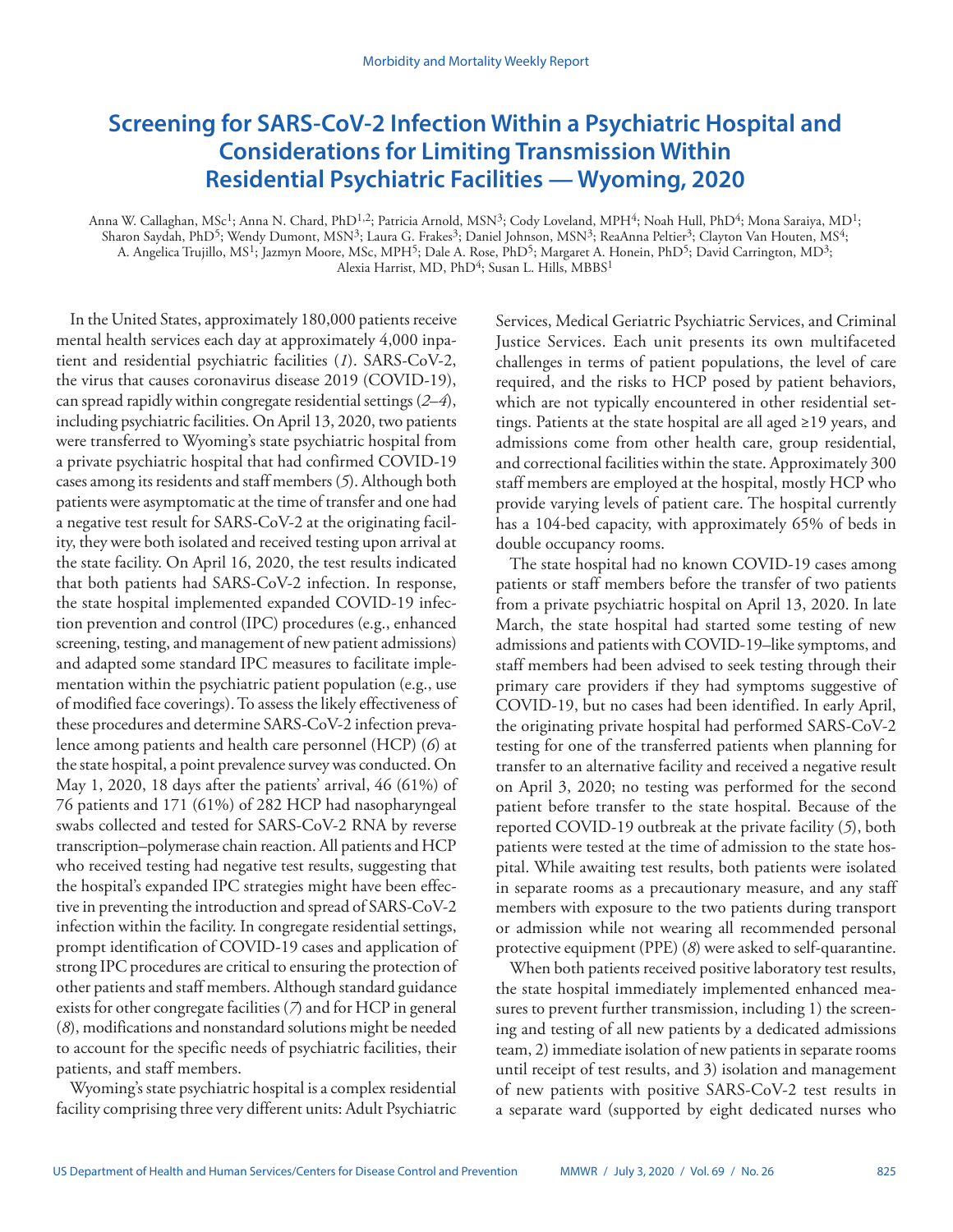# **Screening for SARS-CoV-2 Infection Within a Psychiatric Hospital and Considerations for Limiting Transmission Within Residential Psychiatric Facilities — Wyoming, 2020**

Anna W. Callaghan, MSc<sup>1</sup>; Anna N. Chard, PhD<sup>1,2</sup>; Patricia Arnold, MSN<sup>3</sup>; Cody Loveland, MPH<sup>4</sup>; Noah Hull, PhD<sup>4</sup>; Mona Saraiya, MD<sup>1</sup>; Sharon Saydah, PhD<sup>5</sup>; Wendy Dumont, MSN<sup>3</sup>; Laura G. Frakes<sup>3</sup>; Daniel Johnson, MSN<sup>3</sup>; ReaAnna Peltier<sup>3</sup>; Clayton Van Houten, MS<sup>4</sup>; A. Angelica Trujillo, MS<sup>1</sup>; Jazmyn Moore, MSc, MPH<sup>5</sup>; Dale A. Rose, PhD<sup>5</sup>; Margaret A. Honein, PhD<sup>5</sup>; David Carrington, MD<sup>3</sup>; Alexia Harrist, MD, PhD<sup>4</sup>; Susan L. Hills, MBBS<sup>1</sup>

In the United States, approximately 180,000 patients receive mental health services each day at approximately 4,000 inpatient and residential psychiatric facilities (*1*). SARS-CoV-2, the virus that causes coronavirus disease 2019 (COVID-19), can spread rapidly within congregate residential settings (*2*–*4*), including psychiatric facilities. On April 13, 2020, two patients were transferred to Wyoming's state psychiatric hospital from a private psychiatric hospital that had confirmed COVID-19 cases among its residents and staff members (*5*). Although both patients were asymptomatic at the time of transfer and one had a negative test result for SARS-CoV-2 at the originating facility, they were both isolated and received testing upon arrival at the state facility. On April 16, 2020, the test results indicated that both patients had SARS-CoV-2 infection. In response, the state hospital implemented expanded COVID-19 infection prevention and control (IPC) procedures (e.g., enhanced screening, testing, and management of new patient admissions) and adapted some standard IPC measures to facilitate implementation within the psychiatric patient population (e.g., use of modified face coverings). To assess the likely effectiveness of these procedures and determine SARS-CoV-2 infection prevalence among patients and health care personnel (HCP) (*6*) at the state hospital, a point prevalence survey was conducted. On May 1, 2020, 18 days after the patients' arrival, 46 (61%) of 76 patients and 171 (61%) of 282 HCP had nasopharyngeal swabs collected and tested for SARS-CoV-2 RNA by reverse transcription–polymerase chain reaction. All patients and HCP who received testing had negative test results, suggesting that the hospital's expanded IPC strategies might have been effective in preventing the introduction and spread of SARS-CoV-2 infection within the facility. In congregate residential settings, prompt identification of COVID-19 cases and application of strong IPC procedures are critical to ensuring the protection of other patients and staff members. Although standard guidance exists for other congregate facilities (*7*) and for HCP in general (*8*), modifications and nonstandard solutions might be needed to account for the specific needs of psychiatric facilities, their patients, and staff members.

Wyoming's state psychiatric hospital is a complex residential facility comprising three very different units: Adult Psychiatric Services, Medical Geriatric Psychiatric Services, and Criminal Justice Services. Each unit presents its own multifaceted challenges in terms of patient populations, the level of care required, and the risks to HCP posed by patient behaviors, which are not typically encountered in other residential settings. Patients at the state hospital are all aged ≥19 years, and admissions come from other health care, group residential, and correctional facilities within the state. Approximately 300 staff members are employed at the hospital, mostly HCP who provide varying levels of patient care. The hospital currently has a 104-bed capacity, with approximately 65% of beds in double occupancy rooms.

The state hospital had no known COVID-19 cases among patients or staff members before the transfer of two patients from a private psychiatric hospital on April 13, 2020. In late March, the state hospital had started some testing of new admissions and patients with COVID-19–like symptoms, and staff members had been advised to seek testing through their primary care providers if they had symptoms suggestive of COVID-19, but no cases had been identified. In early April, the originating private hospital had performed SARS-CoV-2 testing for one of the transferred patients when planning for transfer to an alternative facility and received a negative result on April 3, 2020; no testing was performed for the second patient before transfer to the state hospital. Because of the reported COVID-19 outbreak at the private facility (*5*), both patients were tested at the time of admission to the state hospital. While awaiting test results, both patients were isolated in separate rooms as a precautionary measure, and any staff members with exposure to the two patients during transport or admission while not wearing all recommended personal protective equipment (PPE) (*8*) were asked to self-quarantine.

When both patients received positive laboratory test results, the state hospital immediately implemented enhanced measures to prevent further transmission, including 1) the screening and testing of all new patients by a dedicated admissions team, 2) immediate isolation of new patients in separate rooms until receipt of test results, and 3) isolation and management of new patients with positive SARS-CoV-2 test results in a separate ward (supported by eight dedicated nurses who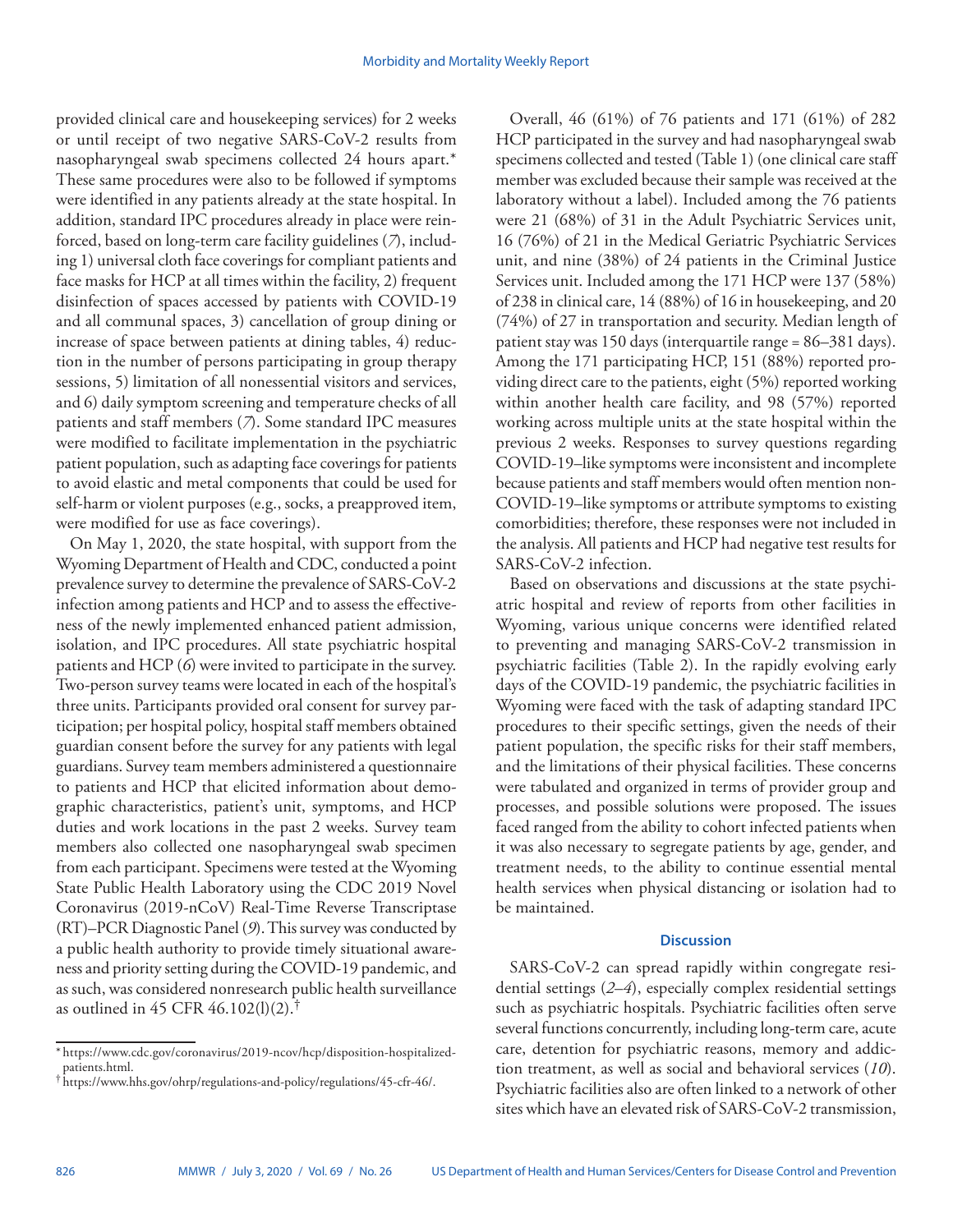provided clinical care and housekeeping services) for 2 weeks or until receipt of two negative SARS-CoV-2 results from nasopharyngeal swab specimens collected 24 hours apart.\* These same procedures were also to be followed if symptoms were identified in any patients already at the state hospital. In addition, standard IPC procedures already in place were reinforced, based on long-term care facility guidelines (*7*), including 1) universal cloth face coverings for compliant patients and face masks for HCP at all times within the facility, 2) frequent disinfection of spaces accessed by patients with COVID-19 and all communal spaces, 3) cancellation of group dining or increase of space between patients at dining tables, 4) reduction in the number of persons participating in group therapy sessions, 5) limitation of all nonessential visitors and services, and 6) daily symptom screening and temperature checks of all patients and staff members (*7*). Some standard IPC measures were modified to facilitate implementation in the psychiatric patient population, such as adapting face coverings for patients to avoid elastic and metal components that could be used for self-harm or violent purposes (e.g., socks, a preapproved item, were modified for use as face coverings).

On May 1, 2020, the state hospital, with support from the Wyoming Department of Health and CDC, conducted a point prevalence survey to determine the prevalence of SARS-CoV-2 infection among patients and HCP and to assess the effectiveness of the newly implemented enhanced patient admission, isolation, and IPC procedures. All state psychiatric hospital patients and HCP (*6*) were invited to participate in the survey. Two-person survey teams were located in each of the hospital's three units. Participants provided oral consent for survey participation; per hospital policy, hospital staff members obtained guardian consent before the survey for any patients with legal guardians. Survey team members administered a questionnaire to patients and HCP that elicited information about demographic characteristics, patient's unit, symptoms, and HCP duties and work locations in the past 2 weeks. Survey team members also collected one nasopharyngeal swab specimen from each participant. Specimens were tested at the Wyoming State Public Health Laboratory using the CDC 2019 Novel Coronavirus (2019-nCoV) Real-Time Reverse Transcriptase (RT)–PCR Diagnostic Panel (*9*). This survey was conducted by a public health authority to provide timely situational awareness and priority setting during the COVID-19 pandemic, and as such, was considered nonresearch public health surveillance as outlined in 45 CFR 46.102(l)(2).<sup>†</sup>

Overall, 46 (61%) of 76 patients and 171 (61%) of 282 HCP participated in the survey and had nasopharyngeal swab specimens collected and tested (Table 1) (one clinical care staff member was excluded because their sample was received at the laboratory without a label). Included among the 76 patients were 21 (68%) of 31 in the Adult Psychiatric Services unit, 16 (76%) of 21 in the Medical Geriatric Psychiatric Services unit, and nine (38%) of 24 patients in the Criminal Justice Services unit. Included among the 171 HCP were 137 (58%) of 238 in clinical care, 14 (88%) of 16 in housekeeping, and 20 (74%) of 27 in transportation and security. Median length of patient stay was 150 days (interquartile range = 86–381 days). Among the 171 participating HCP, 151 (88%) reported providing direct care to the patients, eight (5%) reported working within another health care facility, and 98 (57%) reported working across multiple units at the state hospital within the previous 2 weeks. Responses to survey questions regarding COVID-19–like symptoms were inconsistent and incomplete because patients and staff members would often mention non-COVID-19–like symptoms or attribute symptoms to existing comorbidities; therefore, these responses were not included in the analysis. All patients and HCP had negative test results for SARS-CoV-2 infection.

Based on observations and discussions at the state psychiatric hospital and review of reports from other facilities in Wyoming, various unique concerns were identified related to preventing and managing SARS-CoV-2 transmission in psychiatric facilities (Table 2). In the rapidly evolving early days of the COVID-19 pandemic, the psychiatric facilities in Wyoming were faced with the task of adapting standard IPC procedures to their specific settings, given the needs of their patient population, the specific risks for their staff members, and the limitations of their physical facilities. These concerns were tabulated and organized in terms of provider group and processes, and possible solutions were proposed. The issues faced ranged from the ability to cohort infected patients when it was also necessary to segregate patients by age, gender, and treatment needs, to the ability to continue essential mental health services when physical distancing or isolation had to be maintained.

## **Discussion**

SARS-CoV-2 can spread rapidly within congregate residential settings (*2*–*4*), especially complex residential settings such as psychiatric hospitals. Psychiatric facilities often serve several functions concurrently, including long-term care, acute care, detention for psychiatric reasons, memory and addiction treatment, as well as social and behavioral services (*10*). Psychiatric facilities also are often linked to a network of other sites which have an elevated risk of SARS-CoV-2 transmission,

<sup>\*</sup> [https://www.cdc.gov/coronavirus/2019-ncov/hcp/disposition-hospitalized-](https://www.cdc.gov/coronavirus/2019-ncov/hcp/disposition-hospitalized-patients.html)

 $^\dagger$  <https://www.hhs.gov/ohrp/regulations-and-policy/regulations/45-cfr-46/>.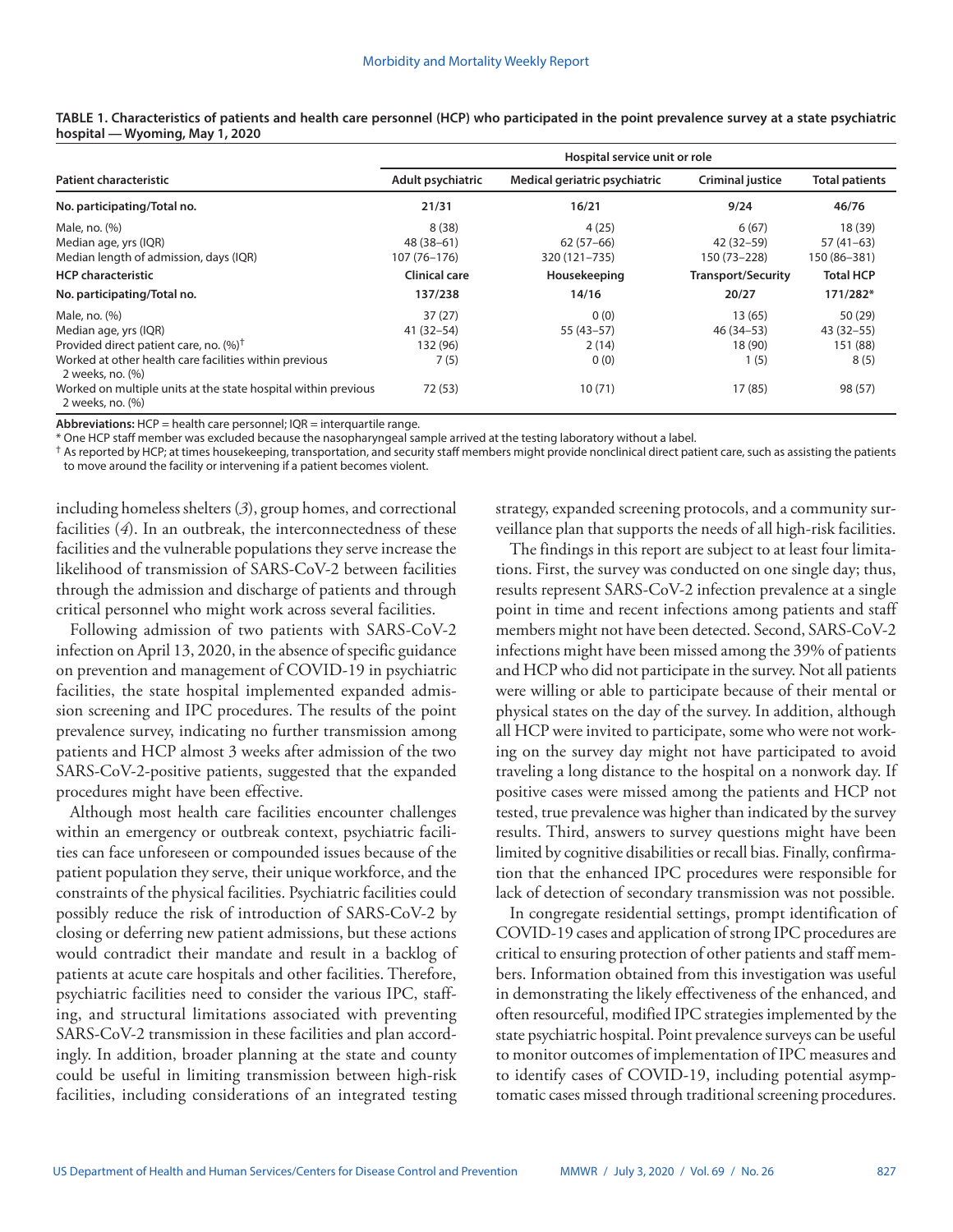|                                                                                                                                                                            | Hospital service unit or role               |                                       |                                           |                                              |
|----------------------------------------------------------------------------------------------------------------------------------------------------------------------------|---------------------------------------------|---------------------------------------|-------------------------------------------|----------------------------------------------|
| <b>Patient characteristic</b>                                                                                                                                              | Adult psychiatric                           | Medical geriatric psychiatric         | <b>Criminal justice</b>                   | <b>Total patients</b>                        |
| No. participating/Total no.                                                                                                                                                | 21/31                                       | 16/21                                 | 9/24                                      | 46/76                                        |
| Male, no. (%)<br>Median age, yrs (IQR)<br>Median length of admission, days (IQR)                                                                                           | 8(38)<br>$48(38-61)$<br>107 (76-176)        | 4(25)<br>$62(57-66)$<br>320 (121-735) | 6(67)<br>42 (32–59)<br>150 (73-228)       | 18 (39)<br>$57(41-63)$<br>150 (86-381)       |
| <b>HCP</b> characteristic                                                                                                                                                  | <b>Clinical care</b>                        | Housekeeping                          | <b>Transport/Security</b>                 | <b>Total HCP</b>                             |
| No. participating/Total no.                                                                                                                                                | 137/238                                     | 14/16                                 | 20/27                                     | 171/282*                                     |
| Male, no. (%)<br>Median age, yrs (IQR)<br>Provided direct patient care, no. (%) <sup>†</sup><br>Worked at other health care facilities within previous<br>2 weeks, no. (%) | 37(27)<br>$41(32 - 54)$<br>132 (96)<br>7(5) | 0(0)<br>$55(43-57)$<br>2(14)<br>0(0)  | 13(65)<br>46 (34 - 53)<br>18 (90)<br>1(5) | 50 (29)<br>$43(32 - 55)$<br>151 (88)<br>8(5) |
| Worked on multiple units at the state hospital within previous<br>2 weeks, no. (%)                                                                                         | 72 (53)                                     | 10(71)                                | 17 (85)                                   | 98 (57)                                      |

**TABLE 1. Characteristics of patients and health care personnel (HCP) who participated in the point prevalence survey at a state psychiatric hospital — Wyoming, May 1, 2020**

Abbreviations: HCP = health care personnel; IQR = interquartile range.

\* One HCP staff member was excluded because the nasopharyngeal sample arrived at the testing laboratory without a label.

 $^{\dagger}$  As reported by HCP; at times housekeeping, transportation, and security staff members might provide nonclinical direct patient care, such as assisting the patients to move around the facility or intervening if a patient becomes violent.

including homeless shelters (*3*), group homes, and correctional facilities (*4*). In an outbreak, the interconnectedness of these facilities and the vulnerable populations they serve increase the likelihood of transmission of SARS-CoV-2 between facilities through the admission and discharge of patients and through critical personnel who might work across several facilities.

Following admission of two patients with SARS-CoV-2 infection on April 13, 2020, in the absence of specific guidance on prevention and management of COVID-19 in psychiatric facilities, the state hospital implemented expanded admission screening and IPC procedures. The results of the point prevalence survey, indicating no further transmission among patients and HCP almost 3 weeks after admission of the two SARS-CoV-2-positive patients, suggested that the expanded procedures might have been effective.

Although most health care facilities encounter challenges within an emergency or outbreak context, psychiatric facilities can face unforeseen or compounded issues because of the patient population they serve, their unique workforce, and the constraints of the physical facilities. Psychiatric facilities could possibly reduce the risk of introduction of SARS-CoV-2 by closing or deferring new patient admissions, but these actions would contradict their mandate and result in a backlog of patients at acute care hospitals and other facilities. Therefore, psychiatric facilities need to consider the various IPC, staffing, and structural limitations associated with preventing SARS-CoV-2 transmission in these facilities and plan accordingly. In addition, broader planning at the state and county could be useful in limiting transmission between high-risk facilities, including considerations of an integrated testing

strategy, expanded screening protocols, and a community surveillance plan that supports the needs of all high-risk facilities.

The findings in this report are subject to at least four limitations. First, the survey was conducted on one single day; thus, results represent SARS-CoV-2 infection prevalence at a single point in time and recent infections among patients and staff members might not have been detected. Second, SARS-CoV-2 infections might have been missed among the 39% of patients and HCP who did not participate in the survey. Not all patients were willing or able to participate because of their mental or physical states on the day of the survey. In addition, although all HCP were invited to participate, some who were not working on the survey day might not have participated to avoid traveling a long distance to the hospital on a nonwork day. If positive cases were missed among the patients and HCP not tested, true prevalence was higher than indicated by the survey results. Third, answers to survey questions might have been limited by cognitive disabilities or recall bias. Finally, confirmation that the enhanced IPC procedures were responsible for lack of detection of secondary transmission was not possible.

In congregate residential settings, prompt identification of COVID-19 cases and application of strong IPC procedures are critical to ensuring protection of other patients and staff members. Information obtained from this investigation was useful in demonstrating the likely effectiveness of the enhanced, and often resourceful, modified IPC strategies implemented by the state psychiatric hospital. Point prevalence surveys can be useful to monitor outcomes of implementation of IPC measures and to identify cases of COVID-19, including potential asymptomatic cases missed through traditional screening procedures.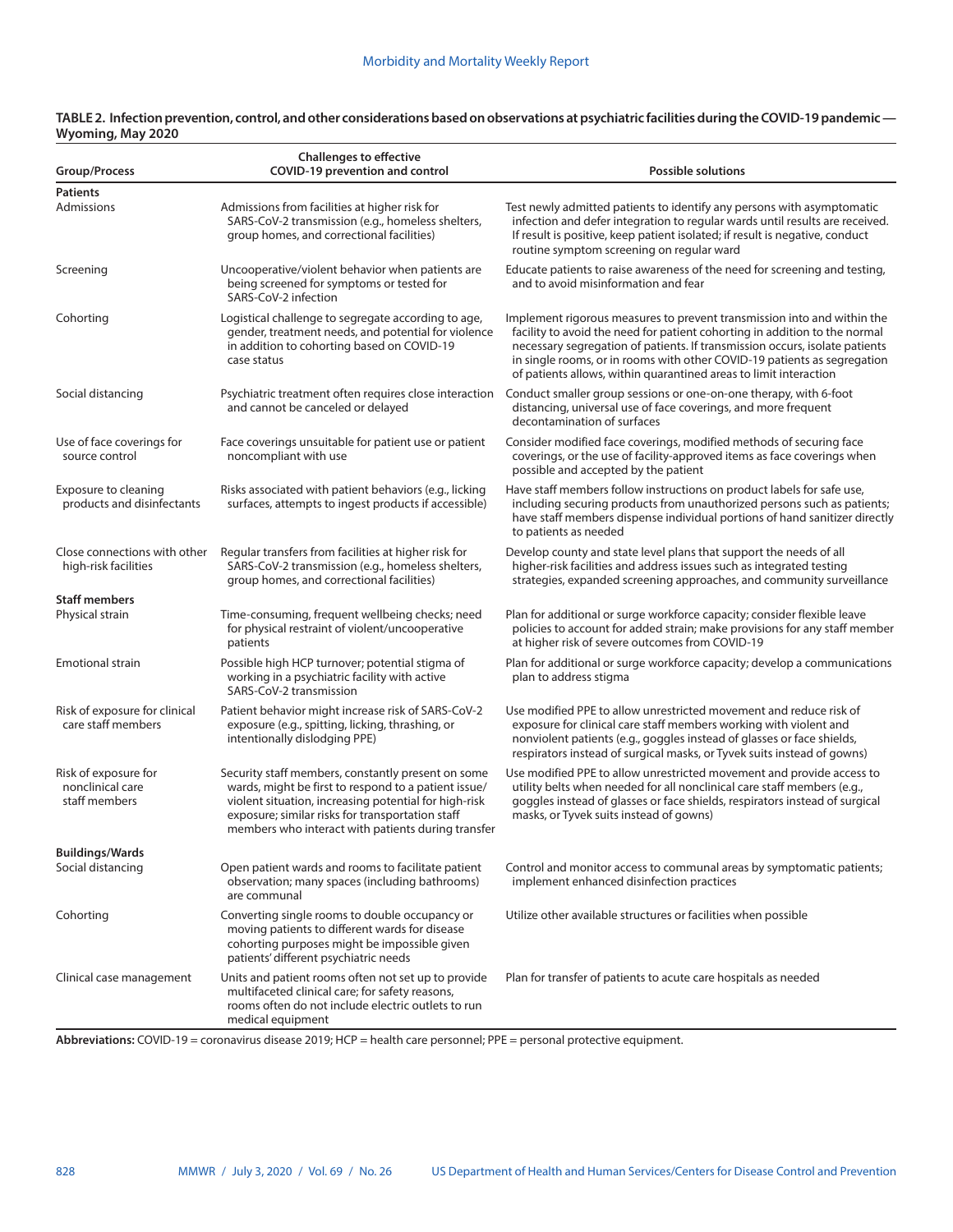| Group/Process                                             | <b>Challenges to effective</b><br>COVID-19 prevention and control                                                                                                                                                                                                             | <b>Possible solutions</b>                                                                                                                                                                                                                                                                                                                                                             |
|-----------------------------------------------------------|-------------------------------------------------------------------------------------------------------------------------------------------------------------------------------------------------------------------------------------------------------------------------------|---------------------------------------------------------------------------------------------------------------------------------------------------------------------------------------------------------------------------------------------------------------------------------------------------------------------------------------------------------------------------------------|
| <b>Patients</b><br>Admissions                             | Admissions from facilities at higher risk for                                                                                                                                                                                                                                 | Test newly admitted patients to identify any persons with asymptomatic                                                                                                                                                                                                                                                                                                                |
|                                                           | SARS-CoV-2 transmission (e.g., homeless shelters,<br>group homes, and correctional facilities)                                                                                                                                                                                | infection and defer integration to regular wards until results are received.<br>If result is positive, keep patient isolated; if result is negative, conduct<br>routine symptom screening on regular ward                                                                                                                                                                             |
| Screening                                                 | Uncooperative/violent behavior when patients are<br>being screened for symptoms or tested for<br>SARS-CoV-2 infection                                                                                                                                                         | Educate patients to raise awareness of the need for screening and testing,<br>and to avoid misinformation and fear                                                                                                                                                                                                                                                                    |
| Cohorting                                                 | Logistical challenge to segregate according to age,<br>gender, treatment needs, and potential for violence<br>in addition to cohorting based on COVID-19<br>case status                                                                                                       | Implement rigorous measures to prevent transmission into and within the<br>facility to avoid the need for patient cohorting in addition to the normal<br>necessary segregation of patients. If transmission occurs, isolate patients<br>in single rooms, or in rooms with other COVID-19 patients as segregation<br>of patients allows, within quarantined areas to limit interaction |
| Social distancing                                         | Psychiatric treatment often requires close interaction<br>and cannot be canceled or delayed                                                                                                                                                                                   | Conduct smaller group sessions or one-on-one therapy, with 6-foot<br>distancing, universal use of face coverings, and more frequent<br>decontamination of surfaces                                                                                                                                                                                                                    |
| Use of face coverings for<br>source control               | Face coverings unsuitable for patient use or patient<br>noncompliant with use                                                                                                                                                                                                 | Consider modified face coverings, modified methods of securing face<br>coverings, or the use of facility-approved items as face coverings when<br>possible and accepted by the patient                                                                                                                                                                                                |
| Exposure to cleaning<br>products and disinfectants        | Risks associated with patient behaviors (e.g., licking<br>surfaces, attempts to ingest products if accessible)                                                                                                                                                                | Have staff members follow instructions on product labels for safe use,<br>including securing products from unauthorized persons such as patients;<br>have staff members dispense individual portions of hand sanitizer directly<br>to patients as needed                                                                                                                              |
| Close connections with other<br>high-risk facilities      | Regular transfers from facilities at higher risk for<br>SARS-CoV-2 transmission (e.g., homeless shelters,<br>group homes, and correctional facilities)                                                                                                                        | Develop county and state level plans that support the needs of all<br>higher-risk facilities and address issues such as integrated testing<br>strategies, expanded screening approaches, and community surveillance                                                                                                                                                                   |
| <b>Staff members</b><br>Physical strain                   | Time-consuming, frequent wellbeing checks; need<br>for physical restraint of violent/uncooperative<br>patients                                                                                                                                                                | Plan for additional or surge workforce capacity; consider flexible leave<br>policies to account for added strain; make provisions for any staff member<br>at higher risk of severe outcomes from COVID-19                                                                                                                                                                             |
| <b>Emotional strain</b>                                   | Possible high HCP turnover; potential stigma of<br>working in a psychiatric facility with active<br>SARS-CoV-2 transmission                                                                                                                                                   | Plan for additional or surge workforce capacity; develop a communications<br>plan to address stigma                                                                                                                                                                                                                                                                                   |
| Risk of exposure for clinical<br>care staff members       | Patient behavior might increase risk of SARS-CoV-2<br>exposure (e.g., spitting, licking, thrashing, or<br>intentionally dislodging PPE)                                                                                                                                       | Use modified PPE to allow unrestricted movement and reduce risk of<br>exposure for clinical care staff members working with violent and<br>nonviolent patients (e.g., goggles instead of glasses or face shields,<br>respirators instead of surgical masks, or Tyvek suits instead of gowns)                                                                                          |
| Risk of exposure for<br>nonclinical care<br>staff members | Security staff members, constantly present on some<br>wards, might be first to respond to a patient issue/<br>violent situation, increasing potential for high-risk<br>exposure; similar risks for transportation staff<br>members who interact with patients during transfer | Use modified PPE to allow unrestricted movement and provide access to<br>utility belts when needed for all nonclinical care staff members (e.g.,<br>goggles instead of glasses or face shields, respirators instead of surgical<br>masks, or Tyvek suits instead of gowns)                                                                                                            |
| <b>Buildings/Wards</b><br>Social distancing               | Open patient wards and rooms to facilitate patient<br>observation; many spaces (including bathrooms)<br>are communal                                                                                                                                                          | Control and monitor access to communal areas by symptomatic patients;<br>implement enhanced disinfection practices                                                                                                                                                                                                                                                                    |
| Cohorting                                                 | Converting single rooms to double occupancy or<br>moving patients to different wards for disease<br>cohorting purposes might be impossible given<br>patients' different psychiatric needs                                                                                     | Utilize other available structures or facilities when possible                                                                                                                                                                                                                                                                                                                        |
| Clinical case management                                  | Units and patient rooms often not set up to provide<br>multifaceted clinical care; for safety reasons,<br>rooms often do not include electric outlets to run<br>medical equipment                                                                                             | Plan for transfer of patients to acute care hospitals as needed                                                                                                                                                                                                                                                                                                                       |

#### **TABLE 2. Infection prevention, control, and other considerations based on observations at psychiatric facilities during the COVID-19 pandemic — Wyoming, May 2020**

**Abbreviations:** COVID-19 = coronavirus disease 2019; HCP = health care personnel; PPE = personal protective equipment.